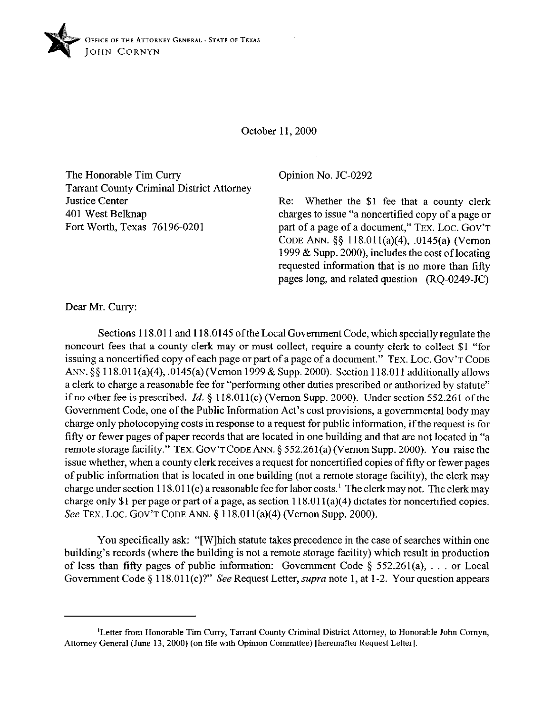

October 11,200O

The Honorable Tim Curry Tarrant County Criminal District Attorney Justice Center 401 West Belknap Fort Worth, Texas 76196-0201

## Opinion No. JC-0292

Re: Whether the \$1 fee that a county clerk charges to issue "a noncertified copy of a page or part of a page of a document," TEX. LOC. GOV'T CODE ANN. \$5 118.011(a)(4), .0145(a) (Vernon 1999 & Supp. 2000), includes the cost of locating requested information that is no more than fifty pages long, and related question (RQ-0249-JC)

Dear Mr. Curry:

Sections 118.011 and 118.0145 oftheLoca1 Government Code, which specially regulate the noncourt fees that a county clerk may or must collect, require a county clerk to collect \$1 "for issuing a noncertified copy of each page or part of a page of a document." TEX. LOC. GOV'T CODE ANN. §§ 118.01 l(a)(4), .0145(a) (Vernon 1999 & Supp. 2000). Section 118.011 additionally allows a clerk to charge a reasonable fee for "performing other duties prescribed or authorized by statute" if no other fee is prescribed. *Id.* § 118.011(c) (Vernon Supp. 2000). Under section 552.261 of the Government Code, one of the Public Information Act's cost provisions, a governmental body may charge only photocopying costs in response to a request for public information, if the request is for fifty or fewer pages of paper records that are located in one building and that are not located in "a remote storage facility." TEX. GOV'T CODE ANN. § 552.261(a) (Vernon Supp. 2000). You raise the issue whether, when a county clerk receives a request for noncertified copies of fifty or fewer pages of public information that is located in one building (not a remote storage facility), the clerk may charge under section 118.011(c) a reasonable fee for labor costs.<sup>1</sup> The clerk may not. The clerk may charge only \$1 per page or part of a page, as section 118.01 l(a)(4) dictates for noncertified copies. See TEX. LOC. GOV'T CODE ANN. § 118.011(a)(4) (Vernon Supp. 2000).

You specifically ask: "[Wlhich statute takes precedence in the case of searches within one building's records (where the building is not a remote storage facility) which result in production of less than fifty pages of public information: Government Code  $\S$  552.261(a), ... or Local Government Code § 118.011(c)?" See Request Letter, *supra* note 1, at 1-2. Your question appears

<sup>&#</sup>x27;Letter from Honorable Tim Curry, Tamant County Criminal District Attorney, to Honorable John Comyn, Attorney General (June 13,200O) (on file with opinion Committee) [hereinafter Request Letter].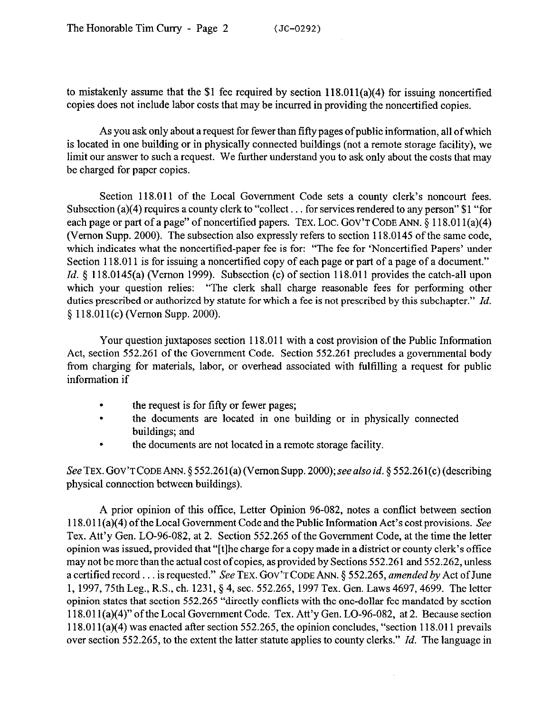to mistakenly assume that the \$1 fee required by section  $118.011(a)(4)$  for issuing noncertified copies does not include labor costs that may be incurred in providing the noncertified copies.

As you ask only about a request for fewer than fifty pages of public information, all of which is located in one building or in physically connected buildings (not a remote storage facility), we limit our answer to such a request. We further understand you to ask only about the costs that may be charged for paper copies.

Section 118.011 of the Local Government Code sets a county clerk's noncourt fees. Subsection (a)(4) requires a county clerk to "collect  $\dots$  for services rendered to any person" \$1 "for each page or part of a page" of noncertified papers. TEX. LOC. GOV'T CODE ANN. § 118.011(a)(4) (Vernon Supp. 2000). The subsection also expressly refers to section 118.0145 of the same code, which indicates what the noncertified-paper fee is for: "The fee for 'Noncertified Papers' under Section 118.011 is for issuing a noncertified copy of each page or part of a page of a document." Id. § 118.0145(a) (Vernon 1999). Subsection (c) of section 118.011 provides the catch-all upon which your question relies: "The clerk shall charge reasonable fees for performing other duties prescribed or authorized by statute for which a fee is not prescribed by this subchapter." *Id.*  5 118.01 l(c) (Vernon Supp. 2000).

Your question juxtaposes section 118.011 with a cost provision of the Public Information Act, section 552.261 of the Government Code. Section 552.261 precludes a governmental body from charging for materials, labor, or overhead associated with fulfilling a request for public information if

- . the request is for fifty or fewer pages;
- . the documents are located in one building or in physically connected buildings; and
- . the documents are not located in a remote storage facility.

See TEX. GOV'T CODE ANN. § 552.261(a) (Vernon Supp. 2000); see also *id.* § 552.261(c) (describing physical connection between buildings).

A prior opinion of this offlice, Letter Opinion 96-082, notes a conflict between section 118.011 (a)(4) of the Local Government Code and the Public Information Act's cost provisions. See Tex. Att'y Gen. LO-96-082, at 2. Section 552.265 of the Government Code, at the time the letter opinion was issued, provided that "[tlhe charge for a copy made in a district or county clerk's office may not be more than the actual cost of copies, as provided by Sections 552.261 and 552.262, unless a certified record. is requested." See TEX. GOV'T CODE ANN. § 552.265, *amended by* Act of June 1, 1997,75th Leg., R.S., ch. 1231, 5 4, sec. 552.265, 1997 Tex. Gen. Laws 4697,4699. The letter opinion states that section 552.265 "directly conflicts with the one-dollar fee mandated by section 118.01 l(a)(4)" ofthe Local Government Code. Tex. Att'y Gen. LO-96-082, at 2. Because section 118.01 l(a)(4) was enacted after section 552.265, the opinion concludes, "section 118.011 prevails over section 552.265, to the extent the latter statute applies to county clerks." *Id.* The language in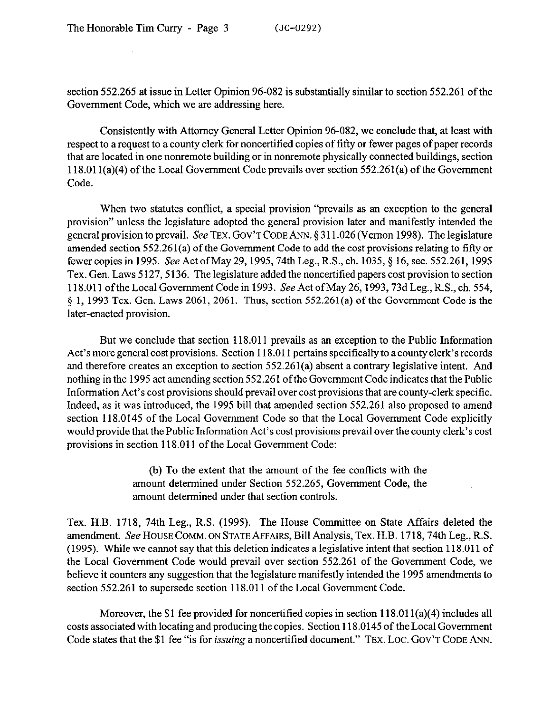section 552.265 at issue in Letter Opinion 96-082 is substantially similar to section 552.261 of the Government Code, which we are addressing here.

Consistently with Attorney General Letter Opinion 96-082, we conclude that, at least with respect to a request to a county clerk for noncertified copies of filly or fewer pages of paper records that are located in one nonremote building or in nonremote physically connected buildings, section 118.01 l(a)(4) of the Local Government Code prevails over section 552.261(a) of the Government Code.

When two statutes conflict, a special provision "prevails as an exception to the general provision" unless the legislature adopted the general provision later and manifestly intended the general provision to prevail. See TEX. GOV'T CODE ANN. \$3 11.026 (Vernon 1998). The legislature amended section 552.261(a) of the Government Code to add the cost provisions relating to fifty or fewer copies in 1995. See Act of May 29, 1995, 74th Leg., R.S., ch. 1035, § 16, sec. 552.261, 1995 Tex. Gen. Laws 5127, 5136. The legislature added the noncertified papers cost provision to section 118.011 oftheLocalGovermnent Codein 1993. See Act ofMay26,1993,73dLeg., R.S.,ch. 554, \$ 1, 1993 Tex. Gen. Laws 2061,2061. Thus, section 552.261(a) of the Government Code is the later-enacted provision.

But we conclude that section 118.011 prevails as an exception to the Public Information Act's more general cost provisions. Section 118.011 pertains specifically to a county clerk's records and therefore creates an exception to section 552.261(a) absent a contrary legislative intent. And nothing in the 1995 act amending section 552.261 ofthe Government Code indicates that the Public Information Act's cost provisions should prevail over cost provisions that are county-clerk specific. Indeed, as it was introduced, the 1995 bill that amended section 552.261 also proposed to amend section 118.0145 of the Local Government Code so that the Local Government Code explicitly would provide that the Public Information Act's cost provisions prevail over the county clerk's cost provisions in section 118.011 of the Local Government Code:

> (b) To the extent that the amount of the fee conflicts with the amount determined under Section 552.265, Government Code, the amount determined under that section controls.

Tex. H.B. 1718, 74th Leg., R.S. (1995). The House Committee on State Affairs deleted the amendment. See HOUSE COMM. ON STATE AFFAIRS, Bill Analysis, Tex. H.B. 1718, 74th Leg., R.S. (1995). While we cannot say that this deletion indicates a legislative intent that section 118.011 of the Local Government Code would prevail over section 552.261 of the Government Code, we believe it counters any suggestion that the legislature manifestly intended the 1995 amendments to section 552.261 to supersede section 118.011 of the Local Government Code.

Moreover, the \$1 fee provided for noncertified copies in section  $118.011(a)(4)$  includes all costs associated with locating and producing the copies. Section 118.0145 of the Local Government Code states that the \$1 fee "is for *issuing* a noncertified document." TEX. LOC. GOV'T CODE ANN.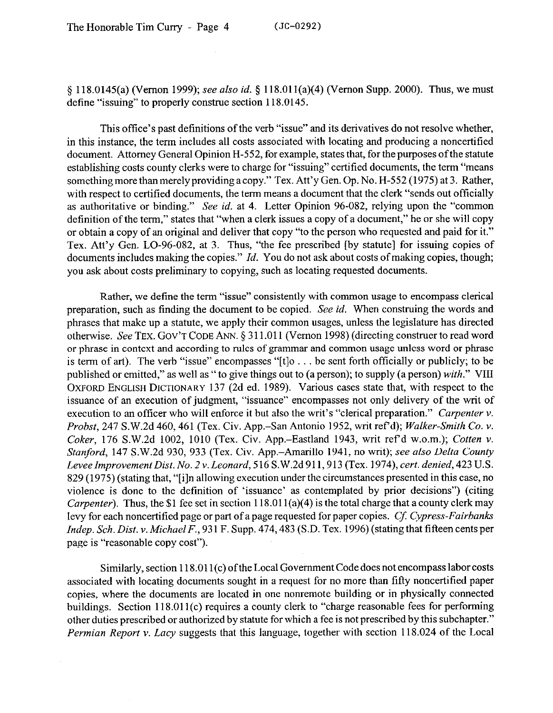5 118.0145(a) (Vernon 1999); see also *id.* 5 118.01 l(a)(4) (Vernon Supp. 2000). Thus, we must define "issuing" to properly construe section 118.0145.

This office's past definitions of the verb "issue" and its derivatives do not resolve whether, in this instance, the term includes all costs associated with locating and producing a noncertified document. Attorney General Opinion H-552, for example, states that, for the purposes of the statute establishing costs county clerks were to charge for "issuing" certified documents, the term "means something more than merely providing a copy." Tex. Att'y Gen. Op. No. H-552 (1975) at 3. Rather, with respect to certified documents, the term means a document that the clerk "sends out officially as authoritative or binding." See *id.* at 4. Letter Opinion 96-082, relying upon the "common definition of the term," states that "when a clerk issues a copy of a document," he or she will copy or obtain a copy of an original and deliver that copy "to the person who requested and paid for it." Tex. Att'y Gen. LO-96-082, at 3. Thus, "the fee prescribed [by statute] for issuing copies of documents includes making the copies." *Id.* You do not ask about costs of making copies, though; you ask about costs preliminary to copying, such as locating requested documents.

Rather, we define the term "issue" consistently with common usage to encompass clerical preparation, such as finding the document to be copied. See *id.* When construing the words and phrases that make up a statute, we apply their common usages, unless the legislature has directed otherwise. See TEX. GOV'T CODE ANN. § 311.011 (Vernon 1998) (directing construer to read word or phrase in context and according to rules of grammar and common usage unless word or phrase is term of art). The verb "issue" encompasses "[t]o  $\ldots$  be sent forth officially or publicly; to be published or emitted," as well as " to give things out to (a person); to supply (a person) *with."* VIII OXFORD ENGLISH DICTIONARY 137 (2d ed. 1989). Various cases state that, with respect to the issuance of an execution of judgment, "issuance" encompasses not only delivery of the writ of execution to an officer who will enforce it but also the writ's "clerical preparation." *Carpenter v. Probst,* 247 S.W.2d 460,461 (Tex. Civ. App.-San Antonio 1952, writ ref d); *Walker-Smith Co. v. Coker*, 176 S.W.2d 1002, 1010 (Tex. Civ. App.-Eastland 1943, writ ref'd w.o.m.); *Cotten v. Stanford,* 147 S.W.2d 930, 933 (Tex. Civ. App.-Amarillo 1941, no writ); see also *Delta County LeveeImprovementDist. No. 2~. Leonard,* 516 S.W,2d911,913 (Tex. *1974), cert. denied, 423* U.S. 829 (1975) (stating that, "[i]n allowing execution under the circumstances presented in this case, no violence is done to the definition of 'issuance' as contemplated by prior decisions") (citing *Carpenter*). Thus, the \$1 fee set in section 118.011(a)(4) is the total charge that a county clerk may levy for each noncertified page or part of a page requested for paper copies. *Cj: Cypress-Fairbanks Indep. Sch. Dist.* v. *Michael F., 93* 1 F. Supp. 474,483 (S.D. Tex. 1996) (stating that fifteen cents per page is "reasonable copy cost").

Similarly, section 118.011(c) of the Local Government Code does not encompass labor costs associated with locating documents sought in a request for no more than fifty noncertified paper copies, where the documents are located in one nonremote building or in physically connected buildings. Section 118.011(c) requires a county clerk to "charge reasonable fees for performing other duties prescribed or authorized by statute for which a fee is not prescribed by this subchapter." *Permian Report* v. *Lacy* suggests that this language, together with section 118.024 of the Local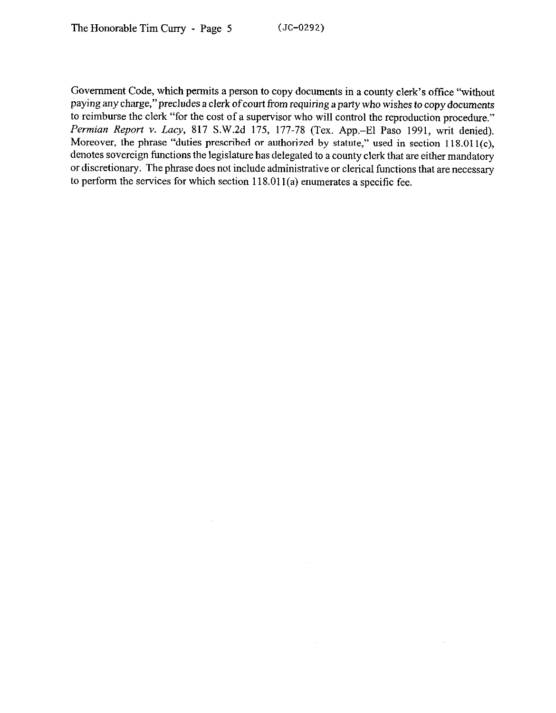Government Code, which permits a person to copy documents in a county clerk's office "without paying any charge,"precludes a clerk of court *from* requiring a party who wishes to copy documents to reimburse the clerk "for the cost of a supervisor who will control the reproduction procedure." *Permian Report* v. *Lucy,* 817 S.W.2d 175, 177-78 (Tex. App.-El Paso 1991, writ denied). Moreover, the phrase "duties prescribed or authorized by statute," used in section 118.011(c), denotes sovereign functions the legislature has delegated to a county clerk that are either mandatory or discretionary. The phrase does not include administrative or clerical functions that are necessary to perform the services for which section  $118.011(a)$  enumerates a specific fee.

 $\sim$